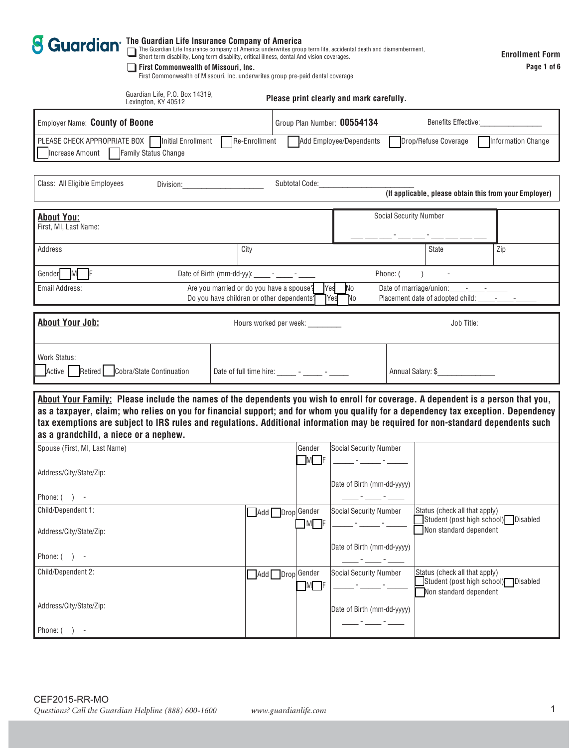| The Guardian Life Insurance Company of America<br>$\square$ The Guardian Life Insurance company of America underwrites group term life, accidental death and dismemberment,<br>Short term disability, Long term disability, critical i<br><b>8 Guardian</b><br><b>First Commonwealth of Missouri, Inc.</b><br>First Commonwealth of Missouri, Inc. underwrites group pre-paid dental coverage<br>Guardian Life, P.O. Box 14319,<br>Lexington, KY 40512                                                                                                                                            |                                                                                                                                                                                                                               |                                  | Please print clearly and mark carefully. |                                                             | <b>Enrollment Form</b><br>Page 1 of 6                  |  |  |  |
|---------------------------------------------------------------------------------------------------------------------------------------------------------------------------------------------------------------------------------------------------------------------------------------------------------------------------------------------------------------------------------------------------------------------------------------------------------------------------------------------------------------------------------------------------------------------------------------------------|-------------------------------------------------------------------------------------------------------------------------------------------------------------------------------------------------------------------------------|----------------------------------|------------------------------------------|-------------------------------------------------------------|--------------------------------------------------------|--|--|--|
| Employer Name: County of Boone                                                                                                                                                                                                                                                                                                                                                                                                                                                                                                                                                                    |                                                                                                                                                                                                                               | Group Plan Number: 00554134      | Benefits Effective:                      |                                                             |                                                        |  |  |  |
| PLEASE CHECK APPROPRIATE BOX<br>Initial Enrollment<br>Increase Amount   Family Status Change                                                                                                                                                                                                                                                                                                                                                                                                                                                                                                      | Re-Enrollment                                                                                                                                                                                                                 |                                  | Add Employee/Dependents                  | Drop/Refuse Coverage                                        | Information Change                                     |  |  |  |
| Class: All Eligible Employees                                                                                                                                                                                                                                                                                                                                                                                                                                                                                                                                                                     | Division: the contract of the contract of the contract of the contract of the contract of the contract of the contract of the contract of the contract of the contract of the contract of the contract of the contract of the | Subtotal Code:                   |                                          |                                                             | (If applicable, please obtain this from your Employer) |  |  |  |
| <b>About You:</b><br>First, MI, Last Name:                                                                                                                                                                                                                                                                                                                                                                                                                                                                                                                                                        |                                                                                                                                                                                                                               |                                  |                                          | <b>Social Security Number</b>                               |                                                        |  |  |  |
| Address                                                                                                                                                                                                                                                                                                                                                                                                                                                                                                                                                                                           | City                                                                                                                                                                                                                          |                                  |                                          | <b>State</b>                                                | Zip                                                    |  |  |  |
| M F<br>Gender                                                                                                                                                                                                                                                                                                                                                                                                                                                                                                                                                                                     | Date of Birth (mm-dd-yy): - - - - -                                                                                                                                                                                           |                                  |                                          | Phone: (                                                    |                                                        |  |  |  |
| Email Address:                                                                                                                                                                                                                                                                                                                                                                                                                                                                                                                                                                                    | Are you married or do you have a spouse?<br>Do you have children or other dependents?                                                                                                                                         |                                  | Yes<br>No<br><b>Yes</b><br>No            | Date of marriage/union:<br>Placement date of adopted child: | <b>Contract Contract</b>                               |  |  |  |
| <b>About Your Job:</b>                                                                                                                                                                                                                                                                                                                                                                                                                                                                                                                                                                            |                                                                                                                                                                                                                               | Hours worked per week: _________ |                                          | Job Title:                                                  |                                                        |  |  |  |
| <b>Work Status:</b><br>Active Retired Cobra/State Continuation                                                                                                                                                                                                                                                                                                                                                                                                                                                                                                                                    | Date of full time hire: $\frac{1}{2}$ - $\frac{1}{2}$ - $\frac{1}{2}$                                                                                                                                                         |                                  |                                          | Annual Salary: \$                                           |                                                        |  |  |  |
| About Your Family: Please include the names of the dependents you wish to enroll for coverage. A dependent is a person that you,<br>as a taxpayer, claim; who relies on you for financial support; and for whom you qualify for a dependency tax exception. Dependency<br>tax exemptions are subject to IRS rules and regulations. Additional information may be required for non-standard dependents such<br>as a grandchild, a niece or a nephew.<br>Spouse (First, MI, Last Name)<br>Gender<br>Social Security Number<br>$M$ $\Box$ F<br>Address/City/State/Zip:<br>Date of Birth (mm-dd-yyyy) |                                                                                                                                                                                                                               |                                  |                                          |                                                             |                                                        |  |  |  |
| Phone: $( )$ -                                                                                                                                                                                                                                                                                                                                                                                                                                                                                                                                                                                    |                                                                                                                                                                                                                               |                                  |                                          |                                                             |                                                        |  |  |  |
| Child/Dependent 1:                                                                                                                                                                                                                                                                                                                                                                                                                                                                                                                                                                                |                                                                                                                                                                                                                               | Add Drop Gender                  | <b>Social Security Number</b>            | Status (check all that apply)                               | Student (post high school) Disabled                    |  |  |  |
| Address/City/State/Zip:                                                                                                                                                                                                                                                                                                                                                                                                                                                                                                                                                                           |                                                                                                                                                                                                                               | $\Box$ M $\Box$ F                |                                          | Non standard dependent                                      |                                                        |  |  |  |
| Phone: $( )$ -                                                                                                                                                                                                                                                                                                                                                                                                                                                                                                                                                                                    |                                                                                                                                                                                                                               |                                  | Date of Birth (mm-dd-yyyy)               |                                                             |                                                        |  |  |  |
| Child/Dependent 2:                                                                                                                                                                                                                                                                                                                                                                                                                                                                                                                                                                                |                                                                                                                                                                                                                               | Add Drop Gender<br>$M \Box F$    | <b>Social Security Number</b>            | Status (check all that apply)<br>Non standard dependent     | Student (post high school) Disabled                    |  |  |  |
| Address/City/State/Zip:                                                                                                                                                                                                                                                                                                                                                                                                                                                                                                                                                                           |                                                                                                                                                                                                                               |                                  | Date of Birth (mm-dd-yyyy)               |                                                             |                                                        |  |  |  |
| Phone: $( )$ -                                                                                                                                                                                                                                                                                                                                                                                                                                                                                                                                                                                    |                                                                                                                                                                                                                               |                                  |                                          |                                                             |                                                        |  |  |  |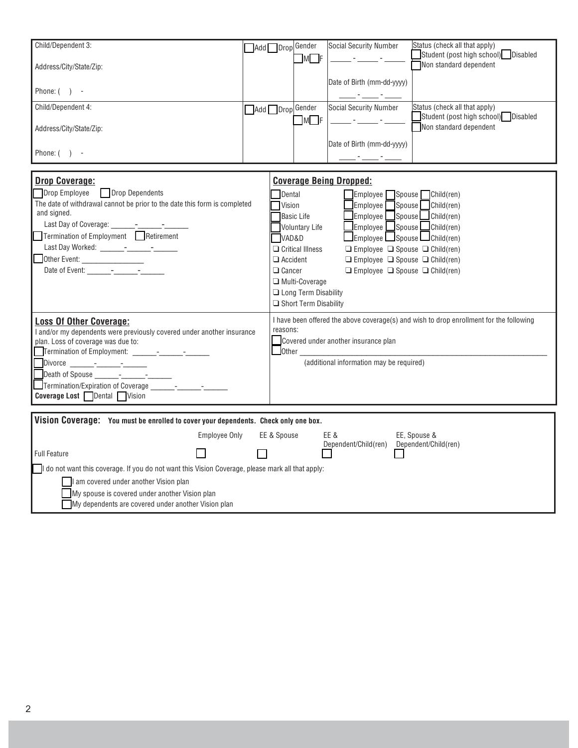| Child/Dependent 3:<br>Address/City/State/Zip:<br>Phone: $( )$ -<br>Child/Dependent 4:<br>Address/City/State/Zip:<br>Phone: $( )$ -                                                                                                                                                                                                    | Add Drop Gender<br>Add Drop Gender |                                                               | $\Box$ M $\Box$ F<br>$\Box$ M $\Box$ F                                                                                                                        | <b>Social Security Number</b><br>Date of Birth (mm-dd-yyyy)<br><b>Social Security Number</b><br>Date of Birth (mm-dd-yyyy)                                                                                                                                                                                                                                                                 | Status (check all that apply)<br>Student (post high school) Disabled<br>Non standard dependent<br>Status (check all that apply)<br>Student (post high school) Disabled<br>Non standard dependent |
|---------------------------------------------------------------------------------------------------------------------------------------------------------------------------------------------------------------------------------------------------------------------------------------------------------------------------------------|------------------------------------|---------------------------------------------------------------|---------------------------------------------------------------------------------------------------------------------------------------------------------------|--------------------------------------------------------------------------------------------------------------------------------------------------------------------------------------------------------------------------------------------------------------------------------------------------------------------------------------------------------------------------------------------|--------------------------------------------------------------------------------------------------------------------------------------------------------------------------------------------------|
|                                                                                                                                                                                                                                                                                                                                       |                                    |                                                               |                                                                                                                                                               |                                                                                                                                                                                                                                                                                                                                                                                            |                                                                                                                                                                                                  |
| <b>Drop Coverage:</b><br><b>Drop Dependents</b><br>Drop Employee<br>The date of withdrawal cannot be prior to the date this form is completed<br>and signed.<br>$\Box$ Termination of Employment $\Box$ Retirement<br>Other Event:                                                                                                    |                                    | Dental<br>Vision<br>VAD&D<br>$\Box$ Accident<br>$\Box$ Cancer | <b>Basic Life</b><br><b>Voluntary Life</b><br>$\Box$ Critical Illness<br>$\Box$ Multi-Coverage<br><b>Long Term Disability</b><br>$\Box$ Short Term Disability | <b>Coverage Being Dropped:</b><br>Employee Spouse Child(ren)<br>$\Box$ Employee $\Box$ Spouse $\Box$ Child (ren)<br>$\Box$ Employee $\Box$ Spouse $\Box$ Child (ren)<br>Employee Spouse Child(ren)<br>Employee Spouse LGhild(ren)<br>$\Box$ Employee $\Box$ Spouse $\Box$ Child(ren)<br>$\Box$ Employee $\Box$ Spouse $\Box$ Child(ren)<br>$\Box$ Employee $\Box$ Spouse $\Box$ Child(ren) |                                                                                                                                                                                                  |
| <b>Loss Of Other Coverage:</b><br>I and/or my dependents were previously covered under another insurance<br>plan. Loss of coverage was due to:<br>Death of Spouse ______-_-___-___-____<br>Termination/Expiration of Coverage Theory American Service Service Service Service Service Service S<br><b>Coverage Lost</b> Dental Vision |                                    | reasons:                                                      |                                                                                                                                                               | Covered under another insurance plan<br>Other Charles Communication of the Charles Charles Charles Charles Charles Charles Charles Charles Charles Charles Charles Charles Charles Charles Charles Charles Charles Charles Charles Charles Charles Charles Charles Cha<br>(additional information may be required)                                                                         | I have been offered the above coverage(s) and wish to drop enrollment for the following                                                                                                          |
| Vision Coverage: You must be enrolled to cover your dependents. Check only one box.                                                                                                                                                                                                                                                   |                                    |                                                               |                                                                                                                                                               |                                                                                                                                                                                                                                                                                                                                                                                            |                                                                                                                                                                                                  |
| <b>Employee Only</b>                                                                                                                                                                                                                                                                                                                  |                                    | EE & Spouse                                                   |                                                                                                                                                               | EE &                                                                                                                                                                                                                                                                                                                                                                                       | EE, Spouse &                                                                                                                                                                                     |
| <b>Full Feature</b>                                                                                                                                                                                                                                                                                                                   |                                    |                                                               |                                                                                                                                                               | Dependent/Child(ren) Dependent/Child(ren)                                                                                                                                                                                                                                                                                                                                                  |                                                                                                                                                                                                  |
| I do not want this coverage. If you do not want this Vision Coverage, please mark all that apply:                                                                                                                                                                                                                                     |                                    |                                                               |                                                                                                                                                               |                                                                                                                                                                                                                                                                                                                                                                                            |                                                                                                                                                                                                  |

 $\Box$  I am covered under another Vision plan My spouse is covered under another Vision plan

 $\Box$  My dependents are covered under another Vision plan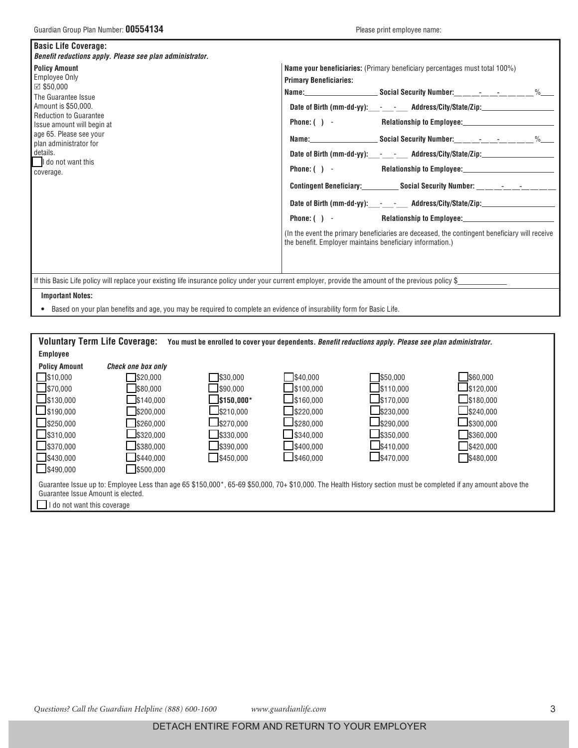| <b>Basic Life Coverage:</b><br>Benefit reductions apply. Please see plan administrator.                                                                                                                                                                                                 |                                                                                                                                                                                                                                                                                                                                                                                                                                                                                                                                                                                                                                                                                                                                                                                           |
|-----------------------------------------------------------------------------------------------------------------------------------------------------------------------------------------------------------------------------------------------------------------------------------------|-------------------------------------------------------------------------------------------------------------------------------------------------------------------------------------------------------------------------------------------------------------------------------------------------------------------------------------------------------------------------------------------------------------------------------------------------------------------------------------------------------------------------------------------------------------------------------------------------------------------------------------------------------------------------------------------------------------------------------------------------------------------------------------------|
| <b>Policy Amount</b><br><b>Employee Only</b><br>$\boxtimes$ \$50,000<br>The Guarantee Issue<br>Amount is \$50,000.<br><b>Reduction to Guarantee</b><br>Issue amount will begin at<br>age 65. Please see your<br>plan administrator for<br>l details.<br>I do not want this<br>coverage. | <b>Name your beneficiaries:</b> (Primary beneficiary percentages must total 100%)<br><b>Primary Beneficiaries:</b><br>Date of Birth (mm-dd-yy): - - - Address/City/State/Zip: ________________________<br>Date of Birth (mm-dd-yy): - - - Address/City/State/Zip:____________________<br>Phone: ( ) - Relationship to Employee: Relationship to Employee:<br>Contingent Beneficiary: Social Security Number: _________________<br>Date of Birth (mm-dd-yy):____-_______ Address/City/State/Zip:___________________<br>Phone: () - Relationship to Employee: 1990 1991 1991 1991 1991 1992 1993 1994 1996 1997 1998 1999 199<br>(In the event the primary beneficiaries are deceased, the contingent beneficiary will receive<br>the benefit. Employer maintains beneficiary information.) |
| If this Basic Life policy will replace your existing life insurance policy under your current employer, provide the amount of the previous policy \$<br><b>Important Notes:</b>                                                                                                         |                                                                                                                                                                                                                                                                                                                                                                                                                                                                                                                                                                                                                                                                                                                                                                                           |

Based on your plan benefits and age, you may be required to complete an evidence of insurability form for Basic Life.

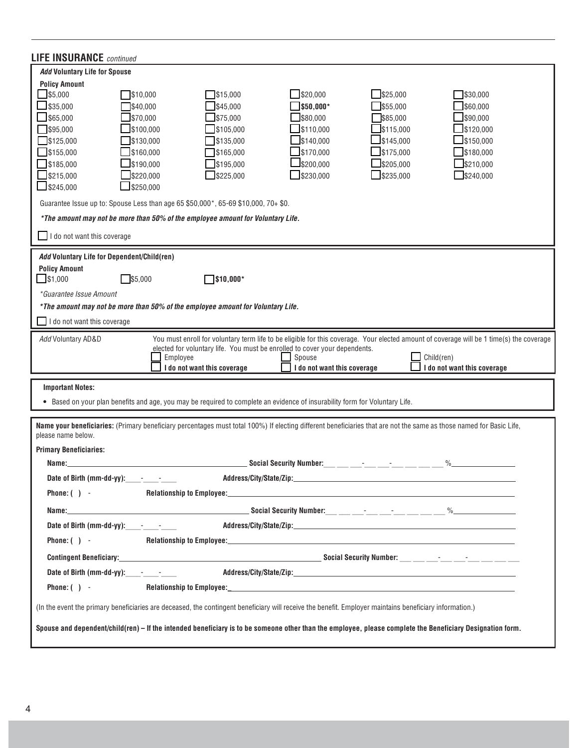| <b>LIFE INSURANCE</b> continued                                                                                                                                                                                                                                                                                                                                                                                                                                                                                                                                                                                                                                                                                                                                                          |  |  |  |  |  |  |  |
|------------------------------------------------------------------------------------------------------------------------------------------------------------------------------------------------------------------------------------------------------------------------------------------------------------------------------------------------------------------------------------------------------------------------------------------------------------------------------------------------------------------------------------------------------------------------------------------------------------------------------------------------------------------------------------------------------------------------------------------------------------------------------------------|--|--|--|--|--|--|--|
| <b>Add Voluntary Life for Spouse</b>                                                                                                                                                                                                                                                                                                                                                                                                                                                                                                                                                                                                                                                                                                                                                     |  |  |  |  |  |  |  |
| <b>Policy Amount</b><br>$\mathbb{I}$ \$5,000<br>\$20,000<br>\$15,000<br>$\frac{1}{2}$ \$25,000<br>\$30,000<br>\$10,000<br>\$35,000<br>\$45.000<br>\$50,000*<br>\$55,000<br>\$60,000<br>\$40,000<br>365,000<br>\$75,000<br>\$80,000<br>\$85,000<br>390,000<br>\$70,000<br>$\sqrt{$}95,000$<br>\$105,000<br>\$110,000<br>\$115,000<br>\$120,000<br>\$100.000<br>\$140,000<br>\$145,000<br>\$150,000<br>$\frac{1}{2}$ \$125,000<br>\$130,000<br>\$135,000<br>$\Box$ \$155,000<br>\$170,000<br>\$175,000<br>\$180,000<br>\$160,000<br>\$165,000<br>$\frac{1}{3}$ \$185,000<br>\$190,000<br>\$195,000<br>\$200,000<br>\$205,000<br>\$210,000<br>$\frac{1}{2}$ \$215,000<br>\$220,000<br>\$225,000<br>3230,000<br>$\Box$ \$235,000<br>$\frac{1}{2}$ \$240,000<br>$\Box$ \$245,000<br>\$250,000 |  |  |  |  |  |  |  |
| Guarantee Issue up to: Spouse Less than age 65 \$50,000*, 65-69 \$10,000, 70+ \$0.                                                                                                                                                                                                                                                                                                                                                                                                                                                                                                                                                                                                                                                                                                       |  |  |  |  |  |  |  |
| *The amount may not be more than 50% of the employee amount for Voluntary Life.                                                                                                                                                                                                                                                                                                                                                                                                                                                                                                                                                                                                                                                                                                          |  |  |  |  |  |  |  |
| I do not want this coverage                                                                                                                                                                                                                                                                                                                                                                                                                                                                                                                                                                                                                                                                                                                                                              |  |  |  |  |  |  |  |
| Add Voluntary Life for Dependent/Child(ren)                                                                                                                                                                                                                                                                                                                                                                                                                                                                                                                                                                                                                                                                                                                                              |  |  |  |  |  |  |  |
| <b>Policy Amount</b><br>$\Box$ \$1,000<br>]\$10,000*<br>\$5,000                                                                                                                                                                                                                                                                                                                                                                                                                                                                                                                                                                                                                                                                                                                          |  |  |  |  |  |  |  |
| *Guarantee Issue Amount                                                                                                                                                                                                                                                                                                                                                                                                                                                                                                                                                                                                                                                                                                                                                                  |  |  |  |  |  |  |  |
| *The amount may not be more than 50% of the employee amount for Voluntary Life.                                                                                                                                                                                                                                                                                                                                                                                                                                                                                                                                                                                                                                                                                                          |  |  |  |  |  |  |  |
| I do not want this coverage                                                                                                                                                                                                                                                                                                                                                                                                                                                                                                                                                                                                                                                                                                                                                              |  |  |  |  |  |  |  |
| Add Voluntary AD&D<br>You must enroll for voluntary term life to be eligible for this coverage. Your elected amount of coverage will be 1 time(s) the coverage<br>elected for voluntary life. You must be enrolled to cover your dependents.<br>Spouse<br>Employee<br>Child(ren)<br>I do not want this coverage<br>I do not want this coverage<br>I do not want this coverage                                                                                                                                                                                                                                                                                                                                                                                                            |  |  |  |  |  |  |  |
| <b>Important Notes:</b>                                                                                                                                                                                                                                                                                                                                                                                                                                                                                                                                                                                                                                                                                                                                                                  |  |  |  |  |  |  |  |
| • Based on your plan benefits and age, you may be required to complete an evidence of insurability form for Voluntary Life.                                                                                                                                                                                                                                                                                                                                                                                                                                                                                                                                                                                                                                                              |  |  |  |  |  |  |  |
|                                                                                                                                                                                                                                                                                                                                                                                                                                                                                                                                                                                                                                                                                                                                                                                          |  |  |  |  |  |  |  |
| Name your beneficiaries: (Primary beneficiary percentages must total 100%) If electing different beneficiaries that are not the same as those named for Basic Life,<br>please name below.                                                                                                                                                                                                                                                                                                                                                                                                                                                                                                                                                                                                |  |  |  |  |  |  |  |
| <b>Primary Beneficiaries:</b><br><b>Social Security Number:</b><br>$\%$<br>Name:                                                                                                                                                                                                                                                                                                                                                                                                                                                                                                                                                                                                                                                                                                         |  |  |  |  |  |  |  |
| Date of Birth (mm-dd-yy): - - - - -                                                                                                                                                                                                                                                                                                                                                                                                                                                                                                                                                                                                                                                                                                                                                      |  |  |  |  |  |  |  |
| Phone: $( )$ -                                                                                                                                                                                                                                                                                                                                                                                                                                                                                                                                                                                                                                                                                                                                                                           |  |  |  |  |  |  |  |
|                                                                                                                                                                                                                                                                                                                                                                                                                                                                                                                                                                                                                                                                                                                                                                                          |  |  |  |  |  |  |  |
|                                                                                                                                                                                                                                                                                                                                                                                                                                                                                                                                                                                                                                                                                                                                                                                          |  |  |  |  |  |  |  |
| Phone: $( )$ -                                                                                                                                                                                                                                                                                                                                                                                                                                                                                                                                                                                                                                                                                                                                                                           |  |  |  |  |  |  |  |
|                                                                                                                                                                                                                                                                                                                                                                                                                                                                                                                                                                                                                                                                                                                                                                                          |  |  |  |  |  |  |  |
| Date of Birth (mm-dd-yy): Process City/State/Zip:________________________________                                                                                                                                                                                                                                                                                                                                                                                                                                                                                                                                                                                                                                                                                                        |  |  |  |  |  |  |  |
| Phone: $( )$ -                                                                                                                                                                                                                                                                                                                                                                                                                                                                                                                                                                                                                                                                                                                                                                           |  |  |  |  |  |  |  |
| (In the event the primary beneficiaries are deceased, the contingent beneficiary will receive the benefit. Employer maintains beneficiary information.)                                                                                                                                                                                                                                                                                                                                                                                                                                                                                                                                                                                                                                  |  |  |  |  |  |  |  |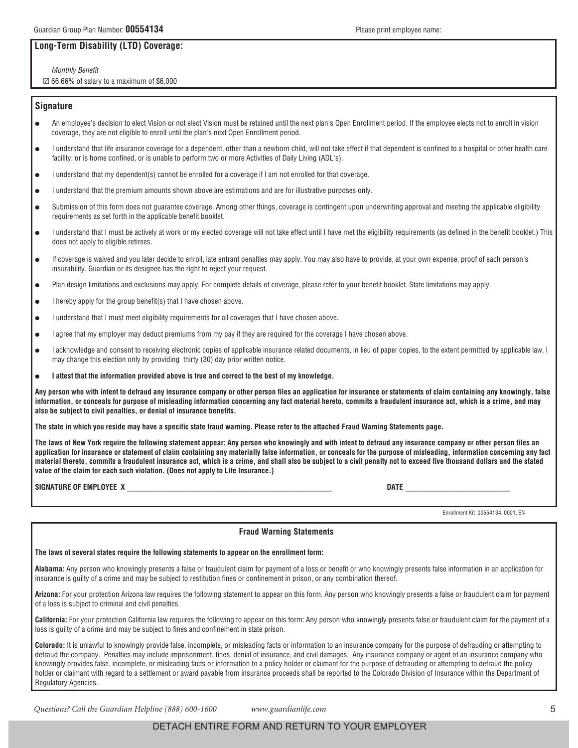## **Long-Term Disability(LTD) Coverage:**

Monthly Benefit  $\boxtimes$  66.66% of salary to a maximum of \$6,000

## **Signature**

- l An employee's decision to elect Vision or not elect Vision must be retained until the next plan's Open Enrollment period. If the employee elects not to enroll in vision coverage, they are not eligible to enroll until the plan's next Open Enrollment period.
- I understand that life insurance coverage for a dependent, other than a newborn child, will not take effect if that dependent is confined to a hospital or other health care facility, or is home confined, or is unable to perform two or more Activities of Daily Living (ADL's).
- l I understand that my dependent(s) cannot be enrolled for a coverage if I am not enrolled for that coverage.
- l I understand that the premium amounts shown above are estimations and are for illustrative purposes only.
- Submission of this form does not guarantee coverage. Among other things, coverage is contingent upon underwriting approval and meeting the applicable eligibility requirements as set forth in the applicable benefit booklet.
- $\bullet$  I understand that I must be actively at work or my elected coverage will not take effect until I have met the eligibility requirements (as defined in the benefit booklet.) This does not apply to eligible retirees.
- If coverage is waived and you later decide to enroll, late entrant penalties may apply. You may also have to provide, at your own expense, proof of each person's insurability. Guardian or its designee has the right to reject your request.
- l Plan design limitations and exclusions may apply. For complete details of coverage, please refer to your benefit booklet. State limitations may apply.
- I hereby apply for the group benefit(s) that I have chosen above.
- I understand that I must meet eligibility requirements for all coverages that I have chosen above.
- I agree that my employer may deduct premiums from my pay if they are required for the coverage I have chosen above.
- I acknowledge and consent to receiving electronic copies of applicable insurance related documents, in lieu of paper copies, to the extent permitted by applicable law. I may change this election only by providing thirty (30) day prior written notice.
- l **I attest that the information provided above is true and correct to the best of myknowledge.**

**Anyperson who with intent to defraud anyinsurance companyor other person files an application for insurance or statements of claim containing anyknowingly, false information, or conceals for purpose of misleading information concerning anyfact material hereto, commits a fraudulent insurance act, which is a crime, and may also be subject to civil penalties, or denial of insurance benefits.**

**The state in which you reside may have a specific state fraud warning. Please refer to the attached Fraud Warning Statements page.**

**The laws of New York require the following statement appear: Anyperson who knowinglyand with intent to defraud anyinsurance companyor other person files an application for insurance or statement of claim containing anymateriallyfalse information, or conceals for the purpose of misleading, information concerning any fact material thereto, commits a fraudulent insurance act, which is a crime, and shall also be subject to a civil penaltynot to exceed five thousand dollars and the stated value of the claim for each such violation. (Does not applyto Life Insurance.)**

**SIGNATURE OF EMPLOYEE X** \_\_\_\_\_\_\_\_\_\_\_\_\_\_\_\_\_\_\_\_\_\_\_\_\_\_\_\_\_\_\_\_\_\_\_\_\_\_\_\_\_\_\_ **DATE** \_\_\_\_\_\_\_\_\_\_\_\_\_\_\_\_\_\_\_\_\_\_

Enrollment Kit 00554134, 0001, EN

## **Fraud Warning Statements**

## **The laws of several states require the following statements to appear on the enrollment form:**

**Alabama:** Any person who knowingly presents a false or fraudulent claim for payment of a loss or benefit or who knowingly presents false information in an application for insurance is guilty of a crime and may be subject to restitution fines or confinement in prison, or any combination thereof.

**Arizona:** For your protection Arizona law requires the following statement to appear on this form. Any person who knowingly presents a false or fraudulent claim for payment of a loss is subject to criminal and civil penalties.

**California:** For your protection California law requires the following to appear on this form: Any person who knowingly presents false or fraudulent claim for the payment of a loss is guilty of a crime and may be subject to fines and confinement in state prison.

**Colorado:** It is unlawful to knowingly provide false, incomplete, or misleading facts or information to an insurance company for the purpose of defrauding or attempting to defraud the company. Penalties may include imprisonment, fines, denial of insurance, and civil damages. Any insurance company or agent of an insurance company who knowingly provides false, incomplete, or misleading facts or information to a policy holder or claimant for the purpose of defrauding or attempting to defraud the policy holder or claimant with regard to a settlement or award payable from insurance proceeds shall be reported to the Colorado Division of Insurance within the Department of Regulatory Agencies.

Questions? Call the Guardian Helpline (888) 600-1600 www.guardianlife.com 5